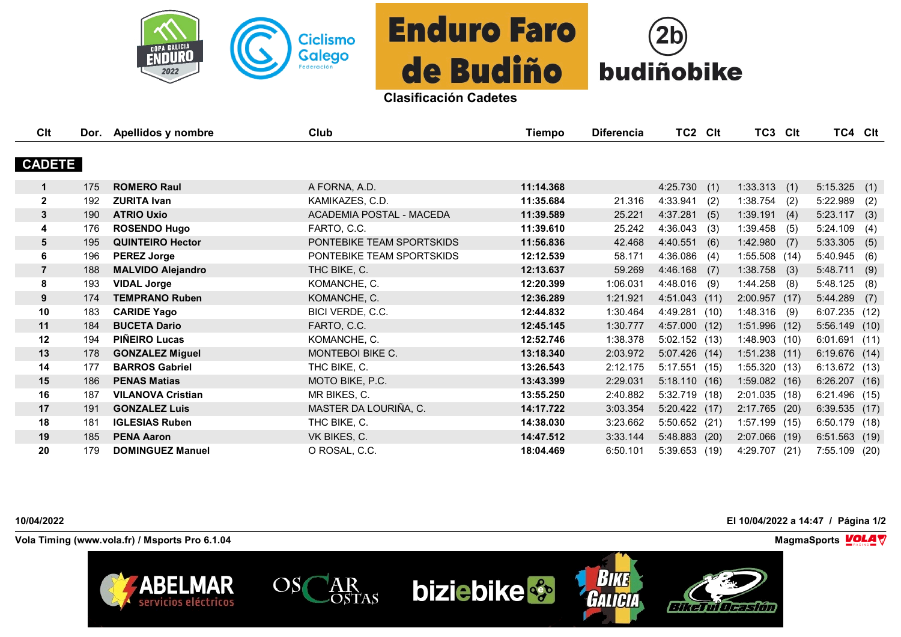



## **Clasificación Cadetes**

| Clt            | Dor. | <b>Apellidos y nombre</b> | Club                      | <b>Tiempo</b> | <b>Diferencia</b> | TC2 CIt         |      | TC3 CIt         |      | TC4 CIt         |      |
|----------------|------|---------------------------|---------------------------|---------------|-------------------|-----------------|------|-----------------|------|-----------------|------|
| <b>CADETE</b>  |      |                           |                           |               |                   |                 |      |                 |      |                 |      |
|                |      |                           |                           |               |                   |                 |      |                 |      |                 |      |
| $\mathbf{1}$   | 175  | <b>ROMERO Raul</b>        | A FORNA, A.D.             | 11:14.368     |                   | 4:25.730(1)     |      | 1:33.313        | (1)  | 5:15.325        | (1)  |
| $\mathbf{2}$   | 192  | <b>ZURITA Ivan</b>        | KAMIKAZES, C.D.           | 11:35.684     | 21.316            | 4:33.941        | (2)  | 1:38.754        | (2)  | 5:22.989        | (2)  |
| $\mathbf{3}$   | 190  | <b>ATRIO Uxio</b>         | ACADEMIA POSTAL - MACEDA  | 11:39.589     | 25.221            | 4:37.281        | (5)  | 1:39.191        | (4)  | 5:23.117        | (3)  |
| 4              | 176  | <b>ROSENDO Hugo</b>       | FARTO, C.C.               | 11:39.610     | 25.242            | 4:36.043        | (3)  | 1:39.458        | (5)  | 5:24.109        | (4)  |
| 5              | 195  | <b>QUINTEIRO Hector</b>   | PONTEBIKE TEAM SPORTSKIDS | 11:56.836     | 42.468            | 4:40.551        | (6)  | 1:42.980        | (7)  | 5:33.305        | (5)  |
| 6              | 196  | <b>PEREZ Jorge</b>        | PONTEBIKE TEAM SPORTSKIDS | 12:12.539     | 58.171            | 4:36.086        | (4)  | $1:55.508$ (14) |      | 5:40.945        | (6)  |
| $\overline{7}$ | 188  | <b>MALVIDO Alejandro</b>  | THC BIKE, C.              | 12:13.637     | 59.269            | 4:46.168        | (7)  | 1:38.758        | (3)  | 5:48.711        | (9)  |
| 8              | 193  | <b>VIDAL Jorge</b>        | KOMANCHE, C.              | 12:20.399     | 1:06.031          | 4:48.016        | (9)  | 1:44.258        | (8)  | 5:48.125        | (8)  |
| 9              | 174  | <b>TEMPRANO Ruben</b>     | KOMANCHE, C.              | 12:36.289     | 1:21.921          | 4:51.043 (11)   |      | 2:00.957(17)    |      | 5:44.289        | (7)  |
| 10             | 183  | <b>CARIDE Yago</b>        | BICI VERDE, C.C.          | 12:44.832     | 1:30.464          | 4:49.281 (10)   |      | 1:48.316        | (9)  | $6:07.235$ (12) |      |
| 11             | 184  | <b>BUCETA Dario</b>       | FARTO, C.C.               | 12:45.145     | 1:30.777          | 4:57.000 (12)   |      | 1:51.996 (12)   |      | 5:56.149(10)    |      |
| 12             | 194  | <b>PIÑEIRO Lucas</b>      | KOMANCHE, C.              | 12:52.746     | 1:38.378          | 5:02.152(13)    |      | 1:48.903(10)    |      | 6:01.691        | (11) |
| 13             | 178  | <b>GONZALEZ Miguel</b>    | MONTEBOI BIKE C.          | 13:18.340     | 2:03.972          | 5:07.426 (14)   |      | $1:51.238$ (11) |      | 6:19.676(14)    |      |
| 14             | 177  | <b>BARROS Gabriel</b>     | THC BIKE, C.              | 13:26.543     | 2:12.175          | $5:17.551$ (15) |      | 1:55.320(13)    |      | 6:13.672(13)    |      |
| 15             | 186  | <b>PENAS Matias</b>       | MOTO BIKE, P.C.           | 13:43.399     | 2:29.031          | 5:18.110(16)    |      | 1:59.082(16)    |      | 6:26.207(16)    |      |
| 16             | 187  | <b>VILANOVA Cristian</b>  | MR BIKES, C.              | 13:55.250     | 2:40.882          | 5:32.719 (18)   |      | 2:01.035 (18)   |      | 6:21.496 (15)   |      |
| 17             | 191  | <b>GONZALEZ Luis</b>      | MASTER DA LOURIÑA, C.     | 14:17.722     | 3:03.354          | 5:20.422 (17)   |      | 2:17.765 (20)   |      | 6:39.535(17)    |      |
| 18             | 181  | <b>IGLESIAS Ruben</b>     | THC BIKE, C.              | 14:38.030     | 3:23.662          | 5:50.652 (21)   |      | 1:57.199 (15)   |      | 6:50.179 (18)   |      |
| 19             | 185  | <b>PENA Aaron</b>         | VK BIKES, C.              | 14:47.512     | 3:33.144          | $5:48.883$ (20) |      | 2:07.066 (19)   |      | 6:51.563(19)    |      |
| 20             | 179  | <b>DOMINGUEZ Manuel</b>   | O ROSAL, C.C.             | 18:04.469     | 6:50.101          | 5:39.653        | (19) | 4:29.707        | (21) | 7:55.109 (20)   |      |

**10/04/2022 El 10/04/2022 a 14:47 / Página 1/2**